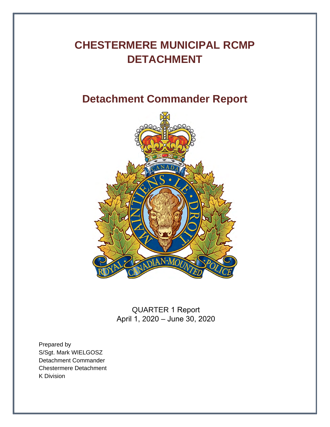# **CHESTERMERE MUNICIPAL RCMP DETACHMENT**

# **Detachment Commander Report**



QUARTER 1 Report April 1, 2020 – June 30, 2020

Prepared by S/Sgt. Mark WIELGOSZ Detachment Commander Chestermere Detachment K Division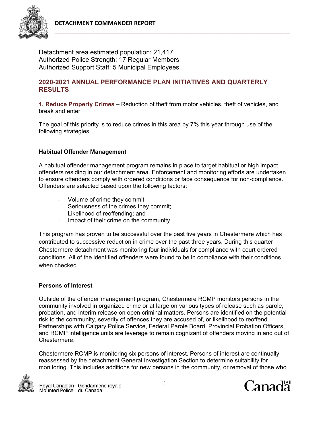

Detachment area estimated population: 21,417 Authorized Police Strength: 17 Regular Members Authorized Support Staff: 5 Municipal Employees

## **2020-2021 ANNUAL PERFORMANCE PLAN INITIATIVES AND QUARTERLY RESULTS**

**1. Reduce Property Crimes** – Reduction of theft from motor vehicles, theft of vehicles, and break and enter.

The goal of this priority is to reduce crimes in this area by 7% this year through use of the following strategies.

## **Habitual Offender Management**

A habitual offender management program remains in place to target habitual or high impact offenders residing in our detachment area. Enforcement and monitoring efforts are undertaken to ensure offenders comply with ordered conditions or face consequence for non-compliance. Offenders are selected based upon the following factors:

- ‐ Volume of crime they commit;
- ‐ Seriousness of the crimes they commit;
- ‐ Likelihood of reoffending; and
- ‐ Impact of their crime on the community.

This program has proven to be successful over the past five years in Chestermere which has contributed to successive reduction in crime over the past three years. During this quarter Chestermere detachment was monitoring four individuals for compliance with court ordered conditions. All of the identified offenders were found to be in compliance with their conditions when checked.

### **Persons of Interest**

Outside of the offender management program, Chestermere RCMP monitors persons in the community involved in organized crime or at large on various types of release such as parole, probation, and interim release on open criminal matters. Persons are identified on the potential risk to the community, severity of offences they are accused of, or likelihood to reoffend. Partnerships with Calgary Police Service, Federal Parole Board, Provincial Probation Officers, and RCMP intelligence units are leverage to remain cognizant of offenders moving in and out of Chestermere.

Chestermere RCMP is monitoring six persons of interest. Persons of interest are continually reassessed by the detachment General Investigation Section to determine suitability for monitoring. This includes additions for new persons in the community, or removal of those who



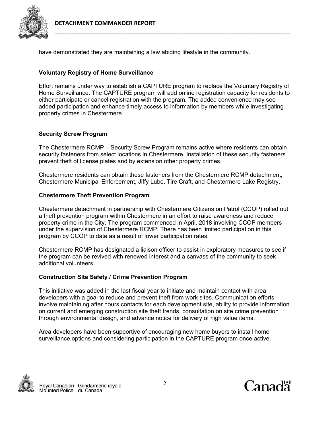

have demonstrated they are maintaining a law abiding lifestyle in the community.

## **Voluntary Registry of Home Surveillance**

Effort remains under way to establish a CAPTURE program to replace the Voluntary Registry of Home Surveillance. The CAPTURE program will add online registration capacity for residents to either participate or cancel registration with the program. The added convenience may see added participation and enhance timely access to information by members while investigating property crimes in Chestermere.

## **Security Screw Program**

The Chestermere RCMP – Security Screw Program remains active where residents can obtain security fasteners from select locations in Chestermere. Installation of these security fasteners prevent theft of license plates and by extension other property crimes.

Chestermere residents can obtain these fasteners from the Chestermere RCMP detachment, Chestermere Municipal Enforcement, Jiffy Lube, Tire Craft, and Chestermere Lake Registry.

## **Chestermere Theft Prevention Program**

Chestermere detachment in partnership with Chestermere Citizens on Patrol (CCOP) rolled out a theft prevention program within Chestermere in an effort to raise awareness and reduce property crime in the City. The program commenced in April, 2018 involving CCOP members under the supervision of Chestermere RCMP. There has been limited participation in this program by CCOP to date as a result of lower participation rates.

Chestermere RCMP has designated a liaison officer to assist in exploratory measures to see if the program can be revived with renewed interest and a canvass of the community to seek additional volunteers.

## **Construction Site Safety / Crime Prevention Program**

This initiative was added in the last fiscal year to initiate and maintain contact with area developers with a goal to reduce and prevent theft from work sites. Communication efforts involve maintaining after hours contacts for each development site, ability to provide information on current and emerging construction site theft trends, consultation on site crime prevention through environmental design, and advance notice for delivery of high value items.

Area developers have been supportive of encouraging new home buyers to install home surveillance options and considering participation in the CAPTURE program once active.



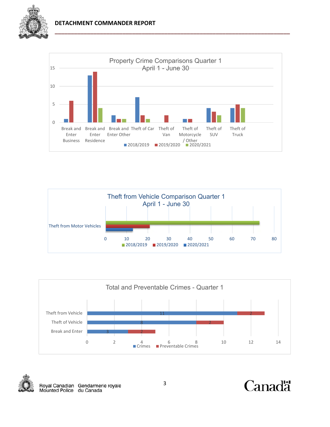

### **DETACHMENT COMMANDER REPORT**









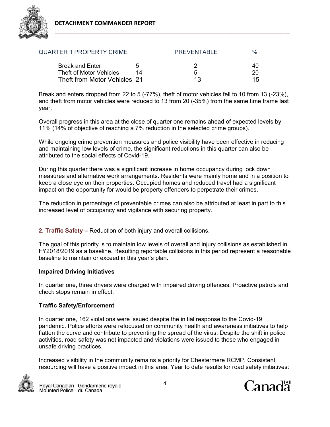

| <b>QUARTER 1 PROPERTY CRIME</b>                   |              | <b>PREVENTABLE</b> | $\%$     |
|---------------------------------------------------|--------------|--------------------|----------|
| <b>Break and Enter</b><br>Theft of Motor Vehicles | $\mathbf{h}$ | 5                  | 40<br>20 |
| Theft from Motor Vehicles 21                      |              | 13.                | 15       |

Break and enters dropped from 22 to 5 (-77%), theft of motor vehicles fell to 10 from 13 (-23%), and theft from motor vehicles were reduced to 13 from 20 (-35%) from the same time frame last year.

Overall progress in this area at the close of quarter one remains ahead of expected levels by 11% (14% of objective of reaching a 7% reduction in the selected crime groups).

While ongoing crime prevention measures and police visibility have been effective in reducing and maintaining low levels of crime, the significant reductions in this quarter can also be attributed to the social effects of Covid-19.

During this quarter there was a significant increase in home occupancy during lock down measures and alternative work arrangements. Residents were mainly home and in a position to keep a close eye on their properties. Occupied homes and reduced travel had a significant impact on the opportunity for would be property offenders to perpetrate their crimes.

The reduction in percentage of preventable crimes can also be attributed at least in part to this increased level of occupancy and vigilance with securing property.

**2. Traffic Safety –** Reduction of both injury and overall collisions.

The goal of this priority is to maintain low levels of overall and injury collisions as established in FY2018/2019 as a baseline. Resulting reportable collisions in this period represent a reasonable baseline to maintain or exceed in this year's plan.

## **Impaired Driving Initiatives**

In quarter one, three drivers were charged with impaired driving offences. Proactive patrols and check stops remain in effect.

## **Traffic Safety/Enforcement**

In quarter one, 162 violations were issued despite the initial response to the Covid-19 pandemic. Police efforts were refocused on community health and awareness initiatives to help flatten the curve and contribute to preventing the spread of the virus. Despite the shift in police activities, road safety was not impacted and violations were issued to those who engaged in unsafe driving practices.

Increased visibility in the community remains a priority for Chestermere RCMP. Consistent resourcing will have a positive impact in this area. Year to date results for road safety initiatives:



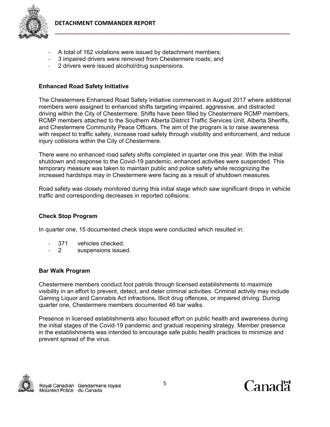

- A total of 162 violations were issued by detachment members;
- ‐ 3 impaired drivers were removed from Chestermere roads; and
- ‐ 2 drivers were issued alcohol/drug suspensions.

## **Enhanced Road Safety Initiative**

The Chestermere Enhanced Road Safety Initiative commenced in August 2017 where additional members were assigned to enhanced shifts targeting impaired, aggressive, and distracted driving within the City of Chestermere. Shifts have been filled by Chestermere RCMP members, RCMP members attached to the Southern Alberta District Traffic Services Unit, Alberta Sheriffs, and Chestermere Community Peace Officers. The aim of the program is to raise awareness with respect to traffic safety, increase road safety through visibility and enforcement, and reduce injury collisions within the City of Chestermere.

There were no enhanced road safety shifts completed in quarter one this year. With the initial shutdown and response to the Covid-19 pandemic, enhanced activities were suspended. This temporary measure was taken to maintain public and police safety while recognizing the increased hardships may in Chestermere were facing as a result of shutdown measures.

Road safety was closely monitored during this initial stage which saw significant drops in vehicle traffic and corresponding decreases in reported collisions.

## **Check Stop Program**

In quarter one, 15 documented check stops were conducted which resulted in:

- ‐ 371 vehicles checked.
- ‐ 2 suspensions issued.

## **Bar Walk Program**

Chestermere members conduct foot patrols through licensed establishments to maximize visibility in an effort to prevent, detect, and deter criminal activities. Criminal activity may include Gaming Liquor and Cannabis Act infractions, Illicit drug offences, or impaired driving. During quarter one, Chestermere members documented 46 bar walks.

Presence in licensed establishments also focused effort on public health and awareness during the initial stages of the Covid-19 pandemic and gradual reopening strategy. Member presence in the establishments was intended to encourage safe public health practices to minimize and prevent spread of the virus.



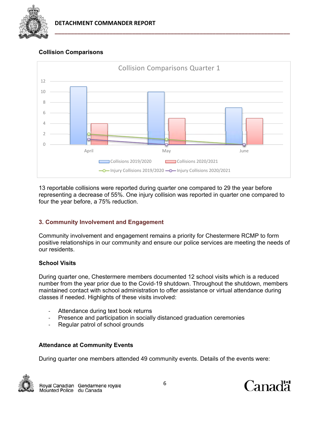

# **Collision Comparisons**



13 reportable collisions were reported during quarter one compared to 29 the year before representing a decrease of 55%. One injury collision was reported in quarter one compared to four the year before, a 75% reduction.

## **3. Community Involvement and Engagement**

Community involvement and engagement remains a priority for Chestermere RCMP to form positive relationships in our community and ensure our police services are meeting the needs of our residents.

## **School Visits**

During quarter one, Chestermere members documented 12 school visits which is a reduced number from the year prior due to the Covid-19 shutdown. Throughout the shutdown, members maintained contact with school administration to offer assistance or virtual attendance during classes if needed. Highlights of these visits involved:

- ‐ Attendance during text book returns
- ‐ Presence and participation in socially distanced graduation ceremonies
- ‐ Regular patrol of school grounds

## **Attendance at Community Events**

During quarter one members attended 49 community events. Details of the events were:



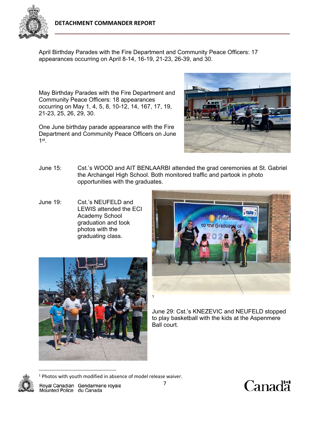

April Birthday Parades with the Fire Department and Community Peace Officers: 17 appearances occurring on April 8-14, 16-19, 21-23, 26-39, and 30.

May Birthday Parades with the Fire Department and Community Peace Officers: 18 appearances occurring on May 1, 4, 5, 8, 10-12, 14, 167, 17, 19, 21-23, 25, 26, 29, 30.

One June birthday parade appearance with the Fire Department and Community Peace Officers on June  $1<sup>st</sup>$ .



- June 15: Cst.'s WOOD and AIT BENLAARBI attended the grad ceremonies at St. Gabriel the Archangel High School. Both monitored traffic and partook in photo opportunities with the graduates.
- June 19: Cst.'s NEUFELD and LEWIS attended the ECI Academy School graduation and took photos with the graduating class.





June 29: Cst.'s KNEZEVIC and NEUFELD stopped to play basketball with the kids at the Aspenmere Ball court.



Royal Canadian Gendarmerie royale<br>Mounted Police du Canada

<sup>1</sup> Photos with youth modified in absence of model release waiver.

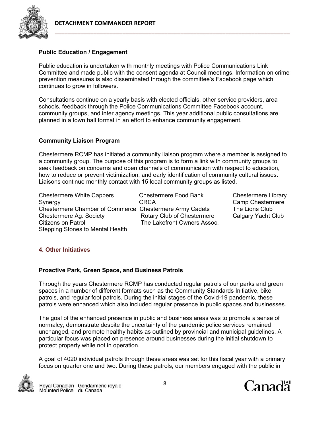

## **Public Education / Engagement**

Public education is undertaken with monthly meetings with Police Communications Link Committee and made public with the consent agenda at Council meetings. Information on crime prevention measures is also disseminated through the committee's Facebook page which continues to grow in followers.

Consultations continue on a yearly basis with elected officials, other service providers, area schools, feedback through the Police Communications Committee Facebook account, community groups, and inter agency meetings. This year additional public consultations are planned in a town hall format in an effort to enhance community engagement.

## **Community Liaison Program**

Chestermere RCMP has initiated a community liaison program where a member is assigned to a community group. The purpose of this program is to form a link with community groups to seek feedback on concerns and open channels of communication with respect to education, how to reduce or prevent victimization, and early identification of community cultural issues. Liaisons continue monthly contact with 15 local community groups as listed.

Chestermere White Cappers Chestermere Food Bank Chestermere Library Synergy CRCA CRCA Camp Chestermere Chestermere Chamber of Commerce Chestermere Army Cadets The Lions Club Chestermere Ag. Society **Rotary Club of Chestermere** Calgary Yacht Club Citizens on Patrol Club Citizens on Patrol Stepping Stones to Mental Health

The Lakefront Owners Assoc.

## **4. Other Initiatives**

## **Proactive Park, Green Space, and Business Patrols**

Through the years Chestermere RCMP has conducted regular patrols of our parks and green spaces in a number of different formats such as the Community Standards Initiative, bike patrols, and regular foot patrols. During the initial stages of the Covid-19 pandemic, these patrols were enhanced which also included regular presence in public spaces and businesses.

The goal of the enhanced presence in public and business areas was to promote a sense of normalcy, demonstrate despite the uncertainty of the pandemic police services remained unchanged, and promote healthy habits as outlined by provincial and municipal guidelines. A particular focus was placed on presence around businesses during the initial shutdown to protect property while not in operation.

A goal of 4020 individual patrols through these areas was set for this fiscal year with a primary focus on quarter one and two. During these patrols, our members engaged with the public in



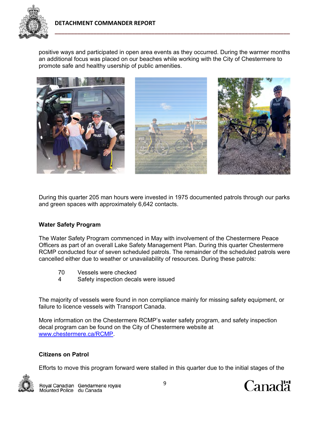

positive ways and participated in open area events as they occurred. During the warmer months an additional focus was placed on our beaches while working with the City of Chestermere to promote safe and healthy usership of public amenities.



During this quarter 205 man hours were invested in 1975 documented patrols through our parks and green spaces with approximately 6,642 contacts.

## **Water Safety Program**

The Water Safety Program commenced in May with involvement of the Chestermere Peace Officers as part of an overall Lake Safety Management Plan. During this quarter Chestermere RCMP conducted four of seven scheduled patrols. The remainder of the scheduled patrols were cancelled either due to weather or unavailability of resources. During these patrols:

- 70 Vessels were checked
- 4 Safety inspection decals were issued

The majority of vessels were found in non compliance mainly for missing safety equipment, or failure to licence vessels with Transport Canada.

More information on the Chestermere RCMP's water safety program, and safety inspection decal program can be found on the City of Chestermere website at www.chestermere.ca/RCMP.

### **Citizens on Patrol**

Efforts to move this program forward were stalled in this quarter due to the initial stages of the



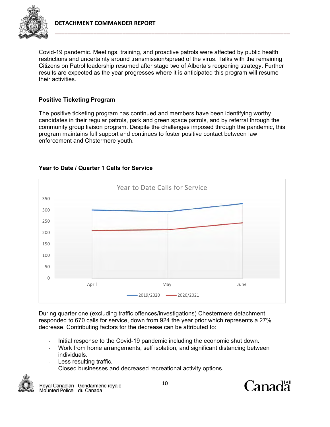

Covid-19 pandemic. Meetings, training, and proactive patrols were affected by public health restrictions and uncertainty around transmission/spread of the virus. Talks with the remaining Citizens on Patrol leadership resumed after stage two of Alberta's reopening strategy. Further results are expected as the year progresses where it is anticipated this program will resume their activities.

## **Positive Ticketing Program**

The positive ticketing program has continued and members have been identifying worthy candidates in their regular patrols, park and green space patrols, and by referral through the community group liaison program. Despite the challenges imposed through the pandemic, this program maintains full support and continues to foster positive contact between law enforcement and Chstermere youth.



## **Year to Date / Quarter 1 Calls for Service**

During quarter one (excluding traffic offences/investigations) Chestermere detachment responded to 670 calls for service, down from 924 the year prior which represents a 27% decrease. Contributing factors for the decrease can be attributed to:

- Initial response to the Covid-19 pandemic including the economic shut down.
- ‐ Work from home arrangements, self isolation, and significant distancing between individuals.
- Less resulting traffic.
- ‐ Closed businesses and decreased recreational activity options.



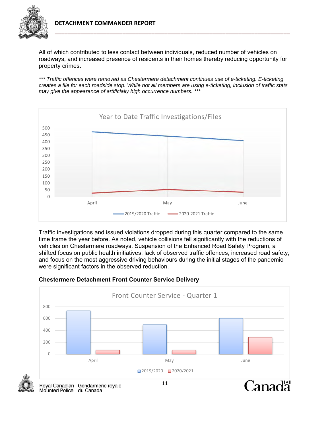

All of which contributed to less contact between individuals, reduced number of vehicles on roadways, and increased presence of residents in their homes thereby reducing opportunity for property crimes.

*\*\*\* Traffic offences were removed as Chestermere detachment continues use of e-ticketing. E-ticketing creates a file for each roadside stop. While not all members are using e-ticketing, inclusion of traffic stats may give the appearance of artificially high occurrence numbers. \*\*\**



Traffic investigations and issued violations dropped during this quarter compared to the same time frame the year before. As noted, vehicle collisions fell significantly with the reductions of vehicles on Chestermere roadways. Suspension of the Enhanced Road Safety Program, a shifted focus on public health initiatives, lack of observed traffic offences, increased road safety, and focus on the most aggressive driving behaviours during the initial stages of the pandemic were significant factors in the observed reduction.



# **Chestermere Detachment Front Counter Service Delivery**



Mounted Police du Canada